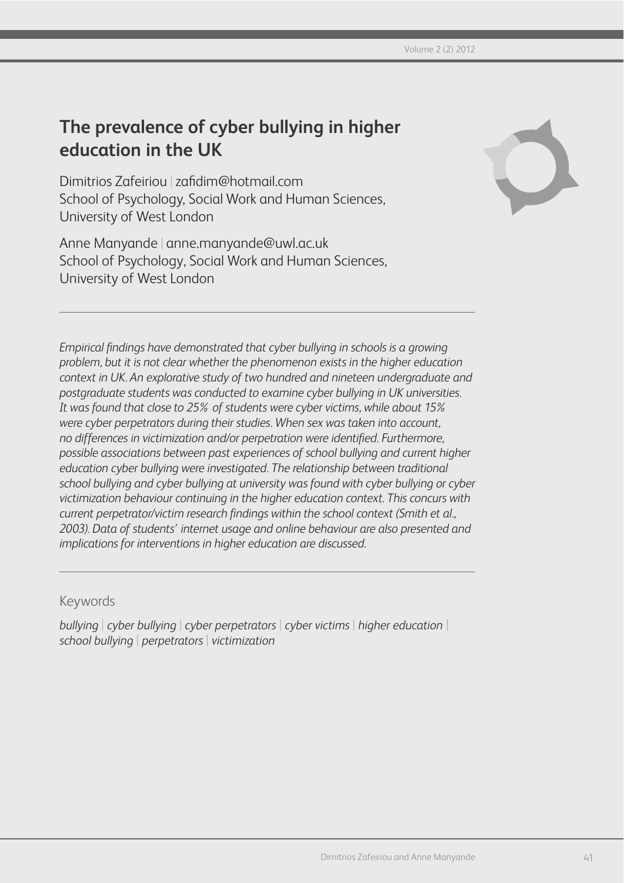# **The prevalence of cyber bullying in higher education in the UK**

Dimitrios Zafeiriou | zafidim@hotmail.com School of Psychology, Social Work and Human Sciences, University of West London

Anne Manyande | anne.manyande@uwl.ac.uk School of Psychology, Social Work and Human Sciences, University of West London



*Empirical findings have demonstrated that cyber bullying in schools is a growing problem, but it is not clear whether the phenomenon exists in the higher education context in UK. An explorative study of two hundred and nineteen undergraduate and postgraduate students was conducted to examine cyber bullying in UK universities. It was found that close to 25% of students were cyber victims, while about 15% were cyber perpetrators during their studies. When sex was taken into account, no differences in victimization and/or perpetration were identified. Furthermore, possible associations between past experiences of school bullying and current higher education cyber bullying were investigated. The relationship between traditional school bullying and cyber bullying at university was found with cyber bullying or cyber victimization behaviour continuing in the higher education context. This concurs with current perpetrator/victim research findings within the school context (Smith et al., 2003). Data of students' internet usage and online behaviour are also presented and implications for interventions in higher education are discussed.*

# Keywords

*bullying* | *cyber bullying* | *cyber perpetrators* | *cyber victims* | *higher education* | *school bullying* | *perpetrators* | *victimization*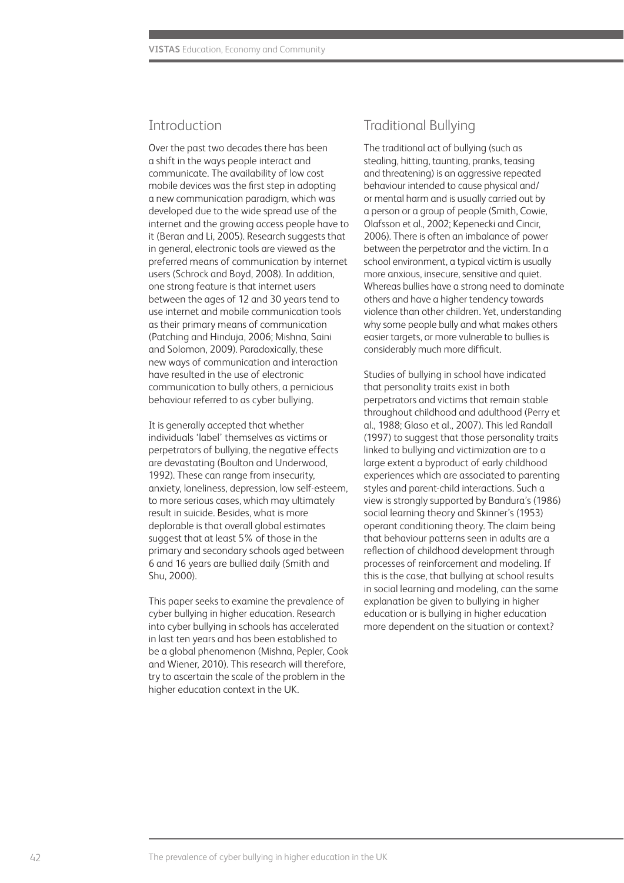# Introduction

Over the past two decades there has been a shift in the ways people interact and communicate. The availability of low cost mobile devices was the first step in adopting a new communication paradigm, which was developed due to the wide spread use of the internet and the growing access people have to it (Beran and Li, 2005). Research suggests that in general, electronic tools are viewed as the preferred means of communication by internet users (Schrock and Boyd, 2008). In addition, one strong feature is that internet users between the ages of 12 and 30 years tend to use internet and mobile communication tools as their primary means of communication (Patching and Hinduja, 2006; Mishna, Saini and Solomon, 2009). Paradoxically, these new ways of communication and interaction have resulted in the use of electronic communication to bully others, a pernicious behaviour referred to as cyber bullying.

It is generally accepted that whether individuals 'label' themselves as victims or perpetrators of bullying, the negative effects are devastating (Boulton and Underwood, 1992). These can range from insecurity, anxiety, loneliness, depression, low self-esteem, to more serious cases, which may ultimately result in suicide. Besides, what is more deplorable is that overall global estimates suggest that at least 5% of those in the primary and secondary schools aged between 6 and 16 years are bullied daily (Smith and Shu, 2000).

This paper seeks to examine the prevalence of cyber bullying in higher education. Research into cyber bullying in schools has accelerated in last ten years and has been established to be a global phenomenon (Mishna, Pepler, Cook and Wiener, 2010). This research will therefore, try to ascertain the scale of the problem in the higher education context in the UK.

# Traditional Bullying

The traditional act of bullying (such as stealing, hitting, taunting, pranks, teasing and threatening) is an aggressive repeated behaviour intended to cause physical and/ or mental harm and is usually carried out by a person or a group of people (Smith, Cowie, Olafsson et al., 2002; Kepenecki and Cincir, 2006). There is often an imbalance of power between the perpetrator and the victim. In a school environment, a typical victim is usually more anxious, insecure, sensitive and quiet. Whereas bullies have a strong need to dominate others and have a higher tendency towards violence than other children. Yet, understanding why some people bully and what makes others easier targets, or more vulnerable to bullies is considerably much more difficult.

Studies of bullying in school have indicated that personality traits exist in both perpetrators and victims that remain stable throughout childhood and adulthood (Perry et al., 1988; Glaso et al., 2007). This led Randall (1997) to suggest that those personality traits linked to bullying and victimization are to a large extent a byproduct of early childhood experiences which are associated to parenting styles and parent-child interactions. Such a view is strongly supported by Bandura's (1986) social learning theory and Skinner's (1953) operant conditioning theory. The claim being that behaviour patterns seen in adults are a reflection of childhood development through processes of reinforcement and modeling. If this is the case, that bullying at school results in social learning and modeling, can the same explanation be given to bullying in higher education or is bullying in higher education more dependent on the situation or context?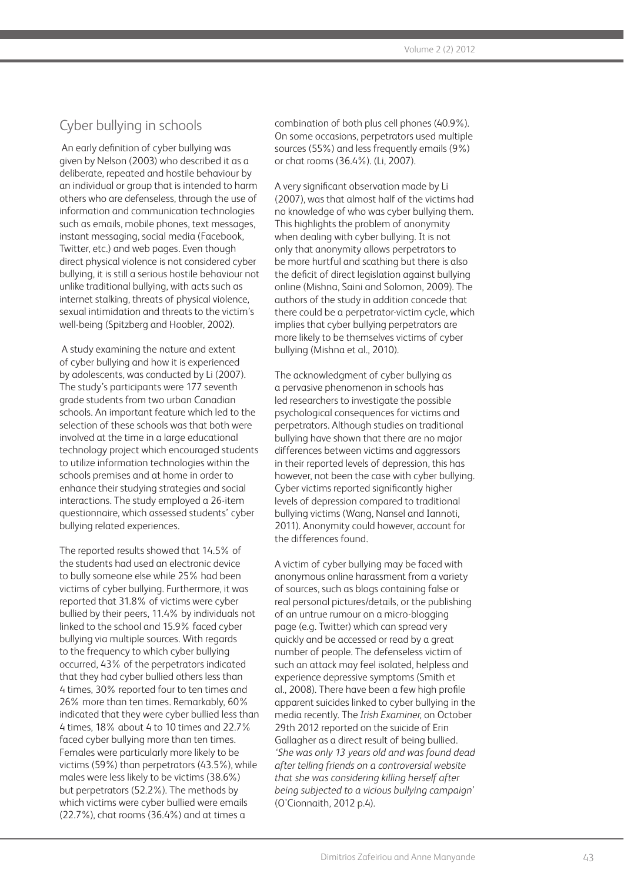# Cyber bullying in schools

 An early definition of cyber bullying was given by Nelson (2003) who described it as a deliberate, repeated and hostile behaviour by an individual or group that is intended to harm others who are defenseless, through the use of information and communication technologies such as emails, mobile phones, text messages, instant messaging, social media (Facebook, Twitter, etc.) and web pages. Even though direct physical violence is not considered cyber bullying, it is still a serious hostile behaviour not unlike traditional bullying, with acts such as internet stalking, threats of physical violence, sexual intimidation and threats to the victim's well-being (Spitzberg and Hoobler, 2002).

 A study examining the nature and extent of cyber bullying and how it is experienced by adolescents, was conducted by Li (2007). The study's participants were 177 seventh grade students from two urban Canadian schools. An important feature which led to the selection of these schools was that both were involved at the time in a large educational technology project which encouraged students to utilize information technologies within the schools premises and at home in order to enhance their studying strategies and social interactions. The study employed a 26-item questionnaire, which assessed students' cyber bullying related experiences.

The reported results showed that 14.5% of the students had used an electronic device to bully someone else while 25% had been victims of cyber bullying. Furthermore, it was reported that 31.8% of victims were cyber bullied by their peers, 11.4% by individuals not linked to the school and 15.9% faced cyber bullying via multiple sources. With regards to the frequency to which cyber bullying occurred, 43% of the perpetrators indicated that they had cyber bullied others less than 4 times, 30% reported four to ten times and 26% more than ten times. Remarkably, 60% indicated that they were cyber bullied less than 4 times, 18% about 4 to 10 times and 22.7% faced cyber bullying more than ten times. Females were particularly more likely to be victims (59%) than perpetrators (43.5%), while males were less likely to be victims (38.6%) but perpetrators (52.2%). The methods by which victims were cyber bullied were emails (22.7%), chat rooms (36.4%) and at times a

combination of both plus cell phones (40.9%). On some occasions, perpetrators used multiple sources (55%) and less frequently emails (9%) or chat rooms (36.4%). (Li, 2007).

A very significant observation made by Li (2007), was that almost half of the victims had no knowledge of who was cyber bullying them. This highlights the problem of anonymity when dealing with cyber bullying. It is not only that anonymity allows perpetrators to be more hurtful and scathing but there is also the deficit of direct legislation against bullying online (Mishna, Saini and Solomon, 2009). The authors of the study in addition concede that there could be a perpetrator-victim cycle, which implies that cyber bullying perpetrators are more likely to be themselves victims of cyber bullying (Mishna et al., 2010).

The acknowledgment of cyber bullying as a pervasive phenomenon in schools has led researchers to investigate the possible psychological consequences for victims and perpetrators. Although studies on traditional bullying have shown that there are no major differences between victims and aggressors in their reported levels of depression, this has however, not been the case with cyber bullying. Cyber victims reported significantly higher levels of depression compared to traditional bullying victims (Wang, Nansel and Iannoti, 2011). Anonymity could however, account for the differences found.

A victim of cyber bullying may be faced with anonymous online harassment from a variety of sources, such as blogs containing false or real personal pictures/details, or the publishing of an untrue rumour on a micro-blogging page (e.g. Twitter) which can spread very quickly and be accessed or read by a great number of people. The defenseless victim of such an attack may feel isolated, helpless and experience depressive symptoms (Smith et al., 2008). There have been a few high profile apparent suicides linked to cyber bullying in the media recently. The *Irish Examiner*, on October 29th 2012 reported on the suicide of Erin Gallagher as a direct result of being bullied. *'She was only 13 years old and was found dead after telling friends on a controversial website that she was considering killing herself after being subjected to a vicious bullying campaign'* (O'Cionnaith, 2012 p.4).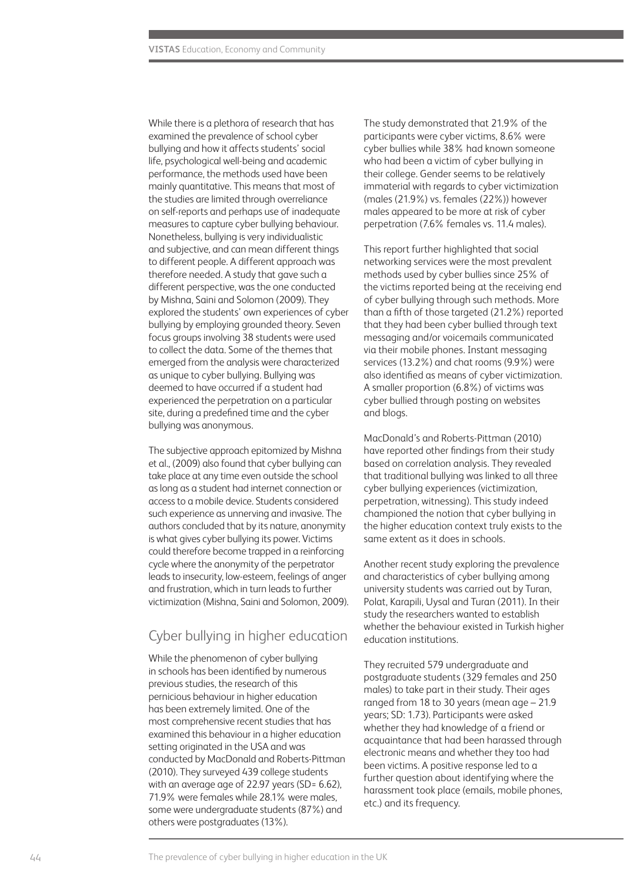While there is a plethora of research that has examined the prevalence of school cyber bullying and how it affects students' social life, psychological well-being and academic performance, the methods used have been mainly quantitative. This means that most of the studies are limited through overreliance on self-reports and perhaps use of inadequate measures to capture cyber bullying behaviour. Nonetheless, bullying is very individualistic and subjective, and can mean different things to different people. A different approach was therefore needed. A study that gave such a different perspective, was the one conducted by Mishna, Saini and Solomon (2009). They explored the students' own experiences of cyber bullying by employing grounded theory. Seven focus groups involving 38 students were used to collect the data. Some of the themes that emerged from the analysis were characterized as unique to cyber bullying. Bullying was deemed to have occurred if a student had experienced the perpetration on a particular site, during a predefined time and the cyber bullying was anonymous.

The subjective approach epitomized by Mishna et al., (2009) also found that cyber bullying can take place at any time even outside the school as long as a student had internet connection or access to a mobile device. Students considered such experience as unnerving and invasive. The authors concluded that by its nature, anonymity is what gives cyber bullying its power. Victims could therefore become trapped in a reinforcing cycle where the anonymity of the perpetrator leads to insecurity, low-esteem, feelings of anger and frustration, which in turn leads to further victimization (Mishna, Saini and Solomon, 2009).

### Cyber bullying in higher education

While the phenomenon of cyber bullying in schools has been identified by numerous previous studies, the research of this pernicious behaviour in higher education has been extremely limited. One of the most comprehensive recent studies that has examined this behaviour in a higher education setting originated in the USA and was conducted by MacDonald and Roberts-Pittman (2010). They surveyed 439 college students with an average age of 22.97 years (SD= 6.62), 71.9% were females while 28.1% were males, some were undergraduate students (87%) and others were postgraduates (13%).

The study demonstrated that 21.9% of the participants were cyber victims, 8.6% were cyber bullies while 38% had known someone who had been a victim of cyber bullying in their college. Gender seems to be relatively immaterial with regards to cyber victimization (males (21.9%) vs. females (22%)) however males appeared to be more at risk of cyber perpetration (7.6% females vs. 11.4 males).

This report further highlighted that social networking services were the most prevalent methods used by cyber bullies since 25% of the victims reported being at the receiving end of cyber bullying through such methods. More than a fifth of those targeted (21.2%) reported that they had been cyber bullied through text messaging and/or voicemails communicated via their mobile phones. Instant messaging services (13.2%) and chat rooms (9.9%) were also identified as means of cyber victimization. A smaller proportion (6.8%) of victims was cyber bullied through posting on websites and blogs.

MacDonald's and Roberts-Pittman (2010) have reported other findings from their study based on correlation analysis. They revealed that traditional bullying was linked to all three cyber bullying experiences (victimization, perpetration, witnessing). This study indeed championed the notion that cyber bullying in the higher education context truly exists to the same extent as it does in schools.

Another recent study exploring the prevalence and characteristics of cyber bullying among university students was carried out by Turan, Polat, Karapili, Uysal and Turan (2011). In their study the researchers wanted to establish whether the behaviour existed in Turkish higher education institutions.

They recruited 579 undergraduate and postgraduate students (329 females and 250 males) to take part in their study. Their ages ranged from 18 to 30 years (mean age – 21.9 years; SD: 1.73). Participants were asked whether they had knowledge of a friend or acquaintance that had been harassed through electronic means and whether they too had been victims. A positive response led to a further question about identifying where the harassment took place (emails, mobile phones, etc.) and its frequency.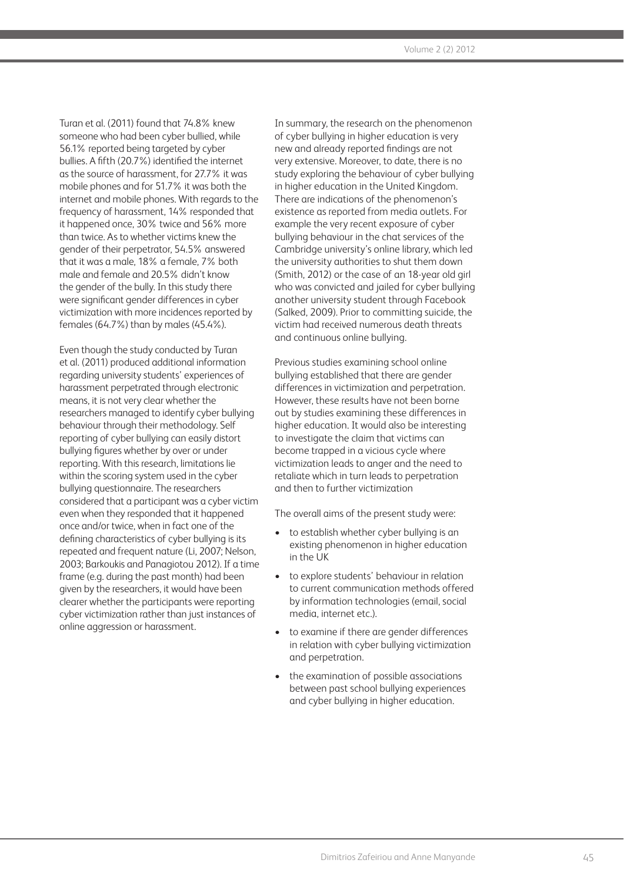Turan et al. (2011) found that 74.8% knew someone who had been cyber bullied, while 56.1% reported being targeted by cyber bullies. A fifth (20.7%) identified the internet as the source of harassment, for 27.7% it was mobile phones and for 51.7% it was both the internet and mobile phones. With regards to the frequency of harassment, 14% responded that it happened once, 30% twice and 56% more than twice. As to whether victims knew the gender of their perpetrator, 54.5% answered that it was a male, 18% a female, 7% both male and female and 20.5% didn't know the gender of the bully. In this study there were significant gender differences in cyber victimization with more incidences reported by females (64.7%) than by males (45.4%).

Even though the study conducted by Turan et al. (2011) produced additional information regarding university students' experiences of harassment perpetrated through electronic means, it is not very clear whether the researchers managed to identify cyber bullying behaviour through their methodology. Self reporting of cyber bullying can easily distort bullying figures whether by over or under reporting. With this research, limitations lie within the scoring system used in the cyber bullying questionnaire. The researchers considered that a participant was a cyber victim even when they responded that it happened once and/or twice, when in fact one of the defining characteristics of cyber bullying is its repeated and frequent nature (Li, 2007; Nelson, 2003; Barkoukis and Panagiotou 2012). If a time frame (e.g. during the past month) had been given by the researchers, it would have been clearer whether the participants were reporting cyber victimization rather than just instances of online aggression or harassment.

In summary, the research on the phenomenon of cyber bullying in higher education is very new and already reported findings are not very extensive. Moreover, to date, there is no study exploring the behaviour of cyber bullying in higher education in the United Kingdom. There are indications of the phenomenon's existence as reported from media outlets. For example the very recent exposure of cyber bullying behaviour in the chat services of the Cambridge university's online library, which led the university authorities to shut them down (Smith, 2012) or the case of an 18-year old girl who was convicted and jailed for cyber bullying another university student through Facebook (Salked, 2009). Prior to committing suicide, the victim had received numerous death threats and continuous online bullying.

Previous studies examining school online bullying established that there are gender differences in victimization and perpetration. However, these results have not been borne out by studies examining these differences in higher education. It would also be interesting to investigate the claim that victims can become trapped in a vicious cycle where victimization leads to anger and the need to retaliate which in turn leads to perpetration and then to further victimization

The overall aims of the present study were:

- to establish whether cyber bullying is an existing phenomenon in higher education in the UK
- to explore students' behaviour in relation to current communication methods offered by information technologies (email, social media, internet etc.).
- to examine if there are gender differences in relation with cyber bullying victimization and perpetration.
- the examination of possible associations between past school bullying experiences and cyber bullying in higher education.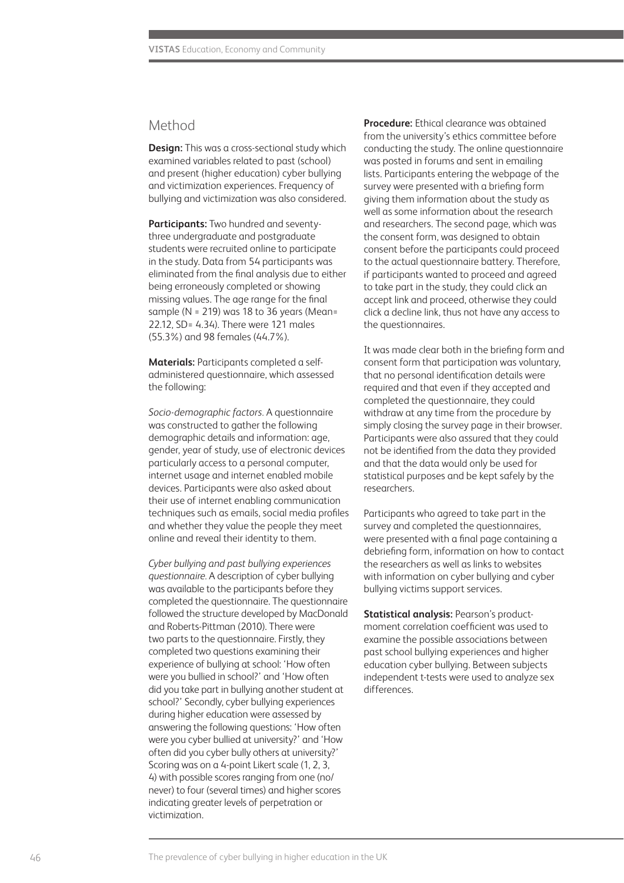# Method

**Design:** This was a cross-sectional study which examined variables related to past (school) and present (higher education) cyber bullying and victimization experiences. Frequency of bullying and victimization was also considered.

**Participants:** Two hundred and seventythree undergraduate and postgraduate students were recruited online to participate in the study. Data from 54 participants was eliminated from the final analysis due to either being erroneously completed or showing missing values. The age range for the final sample (N = 219) was 18 to 36 years (Mean= 22.12, SD= 4.34). There were 121 males (55.3%) and 98 females (44.7%).

**Materials:** Participants completed a selfadministered questionnaire, which assessed the following:

*Socio-demographic factors.* A questionnaire was constructed to gather the following demographic details and information: age, gender, year of study, use of electronic devices particularly access to a personal computer, internet usage and internet enabled mobile devices. Participants were also asked about their use of internet enabling communication techniques such as emails, social media profiles and whether they value the people they meet online and reveal their identity to them.

*Cyber bullying and past bullying experiences questionnaire.* A description of cyber bullying was available to the participants before they completed the questionnaire. The questionnaire followed the structure developed by MacDonald and Roberts-Pittman (2010). There were two parts to the questionnaire. Firstly, they completed two questions examining their experience of bullying at school: 'How often were you bullied in school?' and 'How often did you take part in bullying another student at school?' Secondly, cyber bullying experiences during higher education were assessed by answering the following questions: 'How often were you cyber bullied at university?' and 'How often did you cyber bully others at university?' Scoring was on a 4-point Likert scale (1, 2, 3, 4) with possible scores ranging from one (no/ never) to four (several times) and higher scores indicating greater levels of perpetration or victimization.

**Procedure:** Ethical clearance was obtained from the university's ethics committee before conducting the study. The online questionnaire was posted in forums and sent in emailing lists. Participants entering the webpage of the survey were presented with a briefing form giving them information about the study as well as some information about the research and researchers. The second page, which was the consent form, was designed to obtain consent before the participants could proceed to the actual questionnaire battery. Therefore, if participants wanted to proceed and agreed to take part in the study, they could click an accept link and proceed, otherwise they could click a decline link, thus not have any access to the questionnaires.

It was made clear both in the briefing form and consent form that participation was voluntary, that no personal identification details were required and that even if they accepted and completed the questionnaire, they could withdraw at any time from the procedure by simply closing the survey page in their browser. Participants were also assured that they could not be identified from the data they provided and that the data would only be used for statistical purposes and be kept safely by the researchers.

Participants who agreed to take part in the survey and completed the questionnaires, were presented with a final page containing a debriefing form, information on how to contact the researchers as well as links to websites with information on cyber bullying and cyber bullying victims support services.

**Statistical analysis:** Pearson's productmoment correlation coefficient was used to examine the possible associations between past school bullying experiences and higher education cyber bullying. Between subjects independent t-tests were used to analyze sex differences.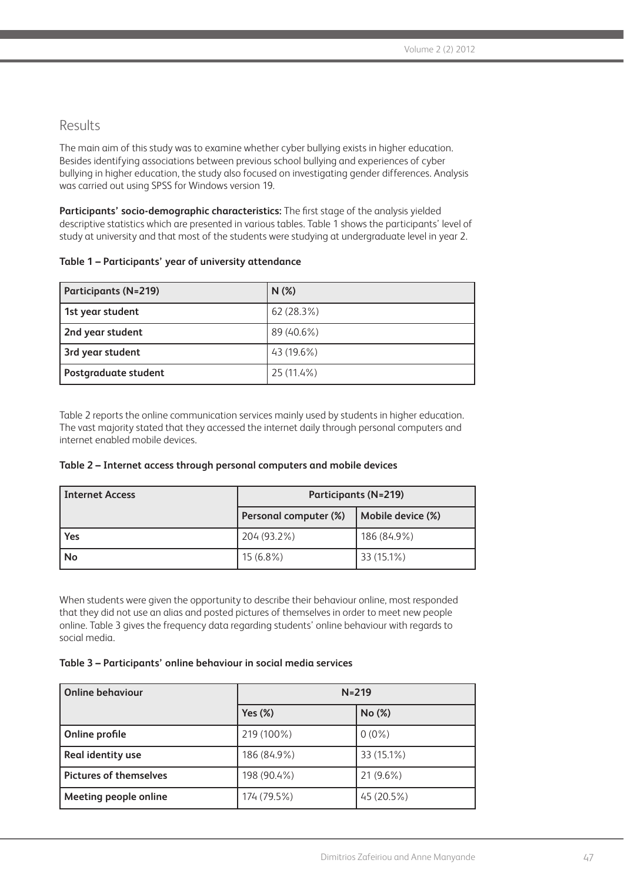# Results

The main aim of this study was to examine whether cyber bullying exists in higher education. Besides identifying associations between previous school bullying and experiences of cyber bullying in higher education, the study also focused on investigating gender differences. Analysis was carried out using SPSS for Windows version 19.

**Participants' socio-demographic characteristics:** The first stage of the analysis yielded descriptive statistics which are presented in various tables. Table 1 shows the participants' level of study at university and that most of the students were studying at undergraduate level in year 2.

#### **Table 1 – Participants' year of university attendance**

| <b>Participants (N=219)</b> | $N(\%)$      |
|-----------------------------|--------------|
| 1st year student            | 62 (28.3%)   |
| 2nd year student            | 89 (40.6%)   |
| 3rd year student            | $43(19.6\%)$ |
| <b>Postgraduate student</b> | 25 (11.4%)   |

Table 2 reports the online communication services mainly used by students in higher education. The vast majority stated that they accessed the internet daily through personal computers and internet enabled mobile devices.

#### **Table 2 – Internet access through personal computers and mobile devices**

| <b>Internet Access</b> | <b>Participants (N=219)</b> |                   |  |
|------------------------|-----------------------------|-------------------|--|
|                        | Personal computer (%)       | Mobile device (%) |  |
| Yes                    | 204 (93.2%)                 | 186 (84.9%)       |  |
| No                     | $15(6.8\%)$                 | 33 (15.1%)        |  |

When students were given the opportunity to describe their behaviour online, most responded that they did not use an alias and posted pictures of themselves in order to meet new people online. Table 3 gives the frequency data regarding students' online behaviour with regards to social media.

#### **Table 3 – Participants' online behaviour in social media services**

| <b>Online behaviour</b>       | $N = 219$   |             |  |
|-------------------------------|-------------|-------------|--|
|                               | Yes $(\%)$  | No (%)      |  |
| Online profile                | 219 (100%)  | $0(0\%)$    |  |
| Real identity use             | 186 (84.9%) | 33 (15.1%)  |  |
| <b>Pictures of themselves</b> | 198 (90.4%) | $21(9.6\%)$ |  |
| Meeting people online         | 174 (79.5%) | 45 (20.5%)  |  |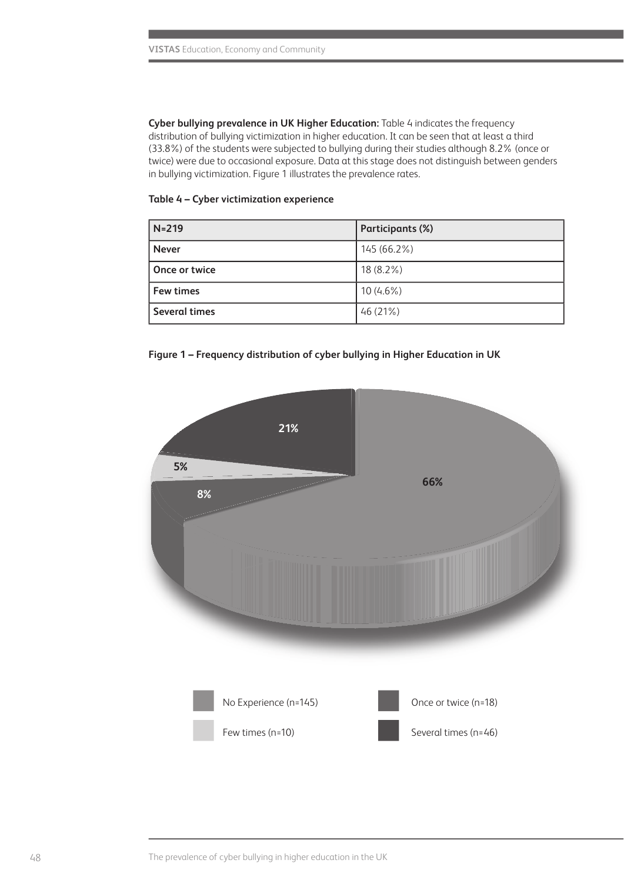**Cyber bullying prevalence in UK Higher Education:** Table 4 indicates the frequency distribution of bullying victimization in higher education. It can be seen that at least a third (33.8%) of the students were subjected to bullying during their studies although 8.2% (once or twice) were due to occasional exposure. Data at this stage does not distinguish between genders in bullying victimization. Figure 1 illustrates the prevalence rates.

#### **Table 4 – Cyber victimization experience**

| $N=219$              | Participants (%) |
|----------------------|------------------|
| <b>Never</b>         | 145 (66.2%)      |
| Once or twice        | $18(8.2\%)$      |
| Few times            | $10(4.6\%)$      |
| <b>Several times</b> | 46(21%)          |



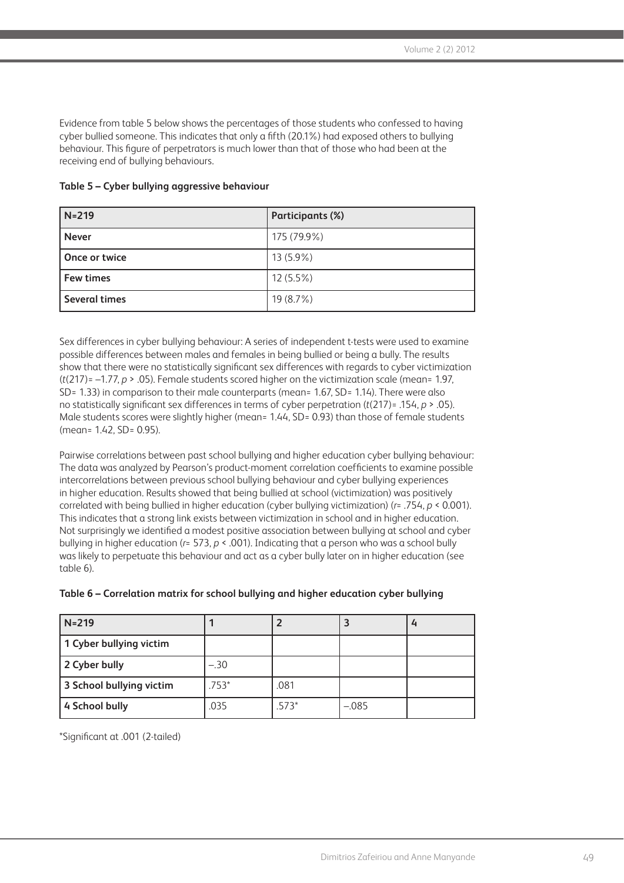Evidence from table 5 below shows the percentages of those students who confessed to having cyber bullied someone. This indicates that only a fifth (20.1%) had exposed others to bullying behaviour. This figure of perpetrators is much lower than that of those who had been at the receiving end of bullying behaviours.

| $N=219$          | Participants (%) |
|------------------|------------------|
| <b>Never</b>     | 175 (79.9%)      |
| Once or twice    | $13(5.9\%)$      |
| <b>Few times</b> | $12(5.5\%)$      |
| Several times    | 19 (8.7%)        |

Sex differences in cyber bullying behaviour: A series of independent t-tests were used to examine possible differences between males and females in being bullied or being a bully. The results show that there were no statistically significant sex differences with regards to cyber victimization (*t*(217)= –1.77, *p* > .05). Female students scored higher on the victimization scale (mean= 1.97, SD= 1.33) in comparison to their male counterparts (mean= 1.67, SD= 1.14). There were also no statistically significant sex differences in terms of cyber perpetration (*t*(217)= .154, *p* > .05). Male students scores were slightly higher (mean= 1.44, SD= 0.93) than those of female students (mean= 1.42, SD= 0.95).

Pairwise correlations between past school bullying and higher education cyber bullying behaviour: The data was analyzed by Pearson's product-moment correlation coefficients to examine possible intercorrelations between previous school bullying behaviour and cyber bullying experiences in higher education. Results showed that being bullied at school (victimization) was positively correlated with being bullied in higher education (cyber bullying victimization) (*r*= .754, *p* < 0.001). This indicates that a strong link exists between victimization in school and in higher education. Not surprisingly we identified a modest positive association between bullying at school and cyber bullying in higher education (*r*= 573, *p* < .001). Indicating that a person who was a school bully was likely to perpetuate this behaviour and act as a cyber bully later on in higher education (see table 6).

| Table 6 – Correlation matrix for school bullying and higher education cyber bullying |  |  |  |
|--------------------------------------------------------------------------------------|--|--|--|
|                                                                                      |  |  |  |

| $N = 219$                |         |         |         |  |
|--------------------------|---------|---------|---------|--|
| 1 Cyber bullying victim  |         |         |         |  |
| 2 Cyber bully            | $-.30$  |         |         |  |
| 3 School bullying victim | $.753*$ | .081    |         |  |
| 4 School bully           | .035    | $.573*$ | $-.085$ |  |

\*Significant at .001 (2-tailed)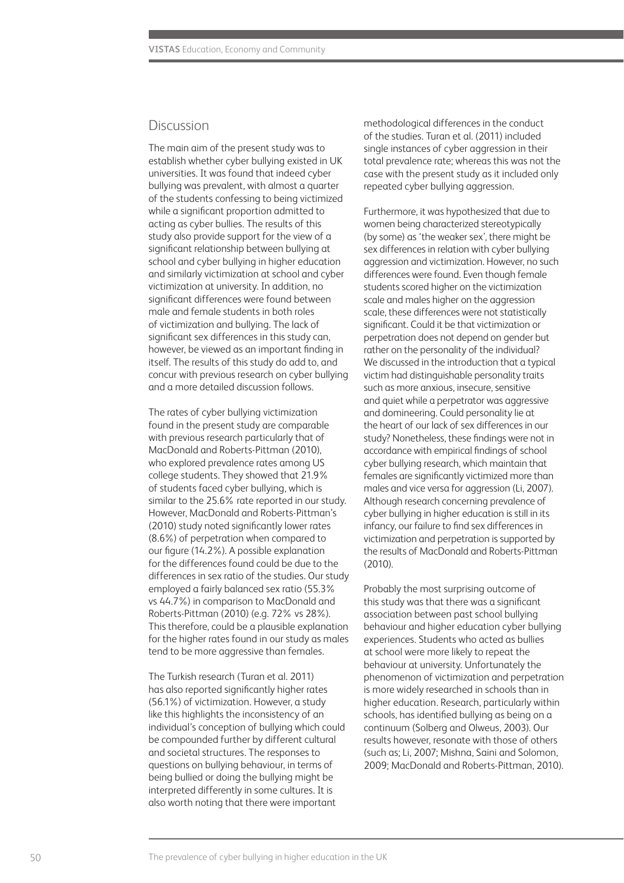### Discussion

The main aim of the present study was to establish whether cyber bullying existed in UK universities. It was found that indeed cyber bullying was prevalent, with almost a quarter of the students confessing to being victimized while a significant proportion admitted to acting as cyber bullies. The results of this study also provide support for the view of a significant relationship between bullying at school and cyber bullying in higher education and similarly victimization at school and cyber victimization at university. In addition, no significant differences were found between male and female students in both roles of victimization and bullying. The lack of significant sex differences in this study can, however, be viewed as an important finding in itself. The results of this study do add to, and concur with previous research on cyber bullying and a more detailed discussion follows.

The rates of cyber bullying victimization found in the present study are comparable with previous research particularly that of MacDonald and Roberts-Pittman (2010), who explored prevalence rates among US college students. They showed that 21.9% of students faced cyber bullying, which is similar to the 25.6% rate reported in our study. However, MacDonald and Roberts-Pittman's (2010) study noted significantly lower rates (8.6%) of perpetration when compared to our figure (14.2%). A possible explanation for the differences found could be due to the differences in sex ratio of the studies. Our study employed a fairly balanced sex ratio (55.3% vs 44.7%) in comparison to MacDonald and Roberts-Pittman (2010) (e.g. 72% vs 28%). This therefore, could be a plausible explanation for the higher rates found in our study as males tend to be more aggressive than females.

The Turkish research (Turan et al. 2011) has also reported significantly higher rates (56.1%) of victimization. However, a study like this highlights the inconsistency of an individual's conception of bullying which could be compounded further by different cultural and societal structures. The responses to questions on bullying behaviour, in terms of being bullied or doing the bullying might be interpreted differently in some cultures. It is also worth noting that there were important

methodological differences in the conduct of the studies. Turan et al. (2011) included single instances of cyber aggression in their total prevalence rate; whereas this was not the case with the present study as it included only repeated cyber bullying aggression.

Furthermore, it was hypothesized that due to women being characterized stereotypically (by some) as 'the weaker sex', there might be sex differences in relation with cyber bullying aggression and victimization. However, no such differences were found. Even though female students scored higher on the victimization scale and males higher on the aggression scale, these differences were not statistically significant. Could it be that victimization or perpetration does not depend on gender but rather on the personality of the individual? We discussed in the introduction that a typical victim had distinguishable personality traits such as more anxious, insecure, sensitive and quiet while a perpetrator was aggressive and domineering. Could personality lie at the heart of our lack of sex differences in our study? Nonetheless, these findings were not in accordance with empirical findings of school cyber bullying research, which maintain that females are significantly victimized more than males and vice versa for aggression (Li, 2007). Although research concerning prevalence of cyber bullying in higher education is still in its infancy, our failure to find sex differences in victimization and perpetration is supported by the results of MacDonald and Roberts-Pittman (2010).

Probably the most surprising outcome of this study was that there was a significant association between past school bullying behaviour and higher education cyber bullying experiences. Students who acted as bullies at school were more likely to repeat the behaviour at university. Unfortunately the phenomenon of victimization and perpetration is more widely researched in schools than in higher education. Research, particularly within schools, has identified bullying as being on a continuum (Solberg and Olweus, 2003). Our results however, resonate with those of others (such as; Li, 2007; Mishna, Saini and Solomon, 2009; MacDonald and Roberts-Pittman, 2010).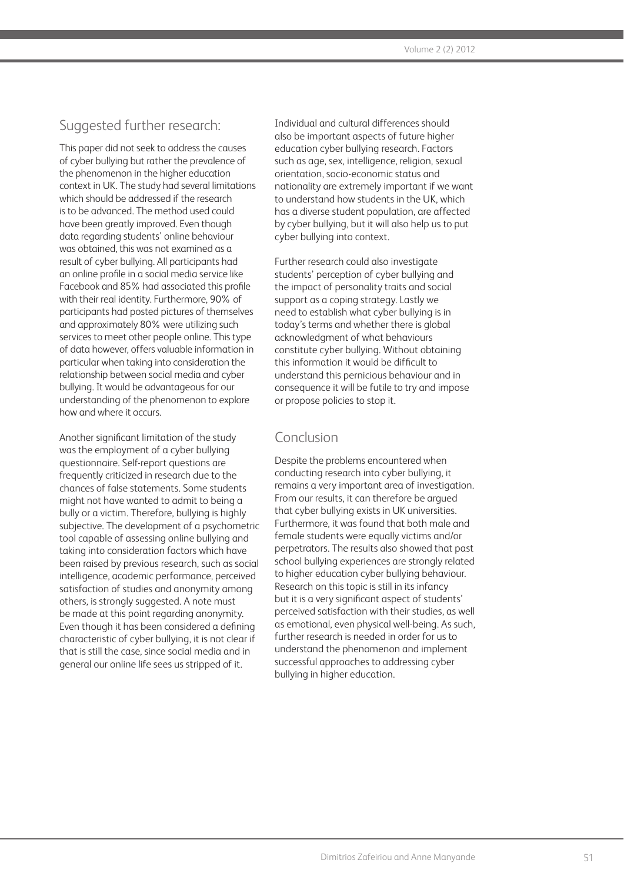# Suggested further research:

This paper did not seek to address the causes of cyber bullying but rather the prevalence of the phenomenon in the higher education context in UK. The study had several limitations which should be addressed if the research is to be advanced. The method used could have been greatly improved. Even though data regarding students' online behaviour was obtained, this was not examined as a result of cyber bullying. All participants had an online profile in a social media service like Facebook and 85% had associated this profile with their real identity. Furthermore, 90% of participants had posted pictures of themselves and approximately 80% were utilizing such services to meet other people online. This type of data however, offers valuable information in particular when taking into consideration the relationship between social media and cyber bullying. It would be advantageous for our understanding of the phenomenon to explore how and where it occurs.

Another significant limitation of the study was the employment of a cyber bullying questionnaire. Self-report questions are frequently criticized in research due to the chances of false statements. Some students might not have wanted to admit to being a bully or a victim. Therefore, bullying is highly subjective. The development of a psychometric tool capable of assessing online bullying and taking into consideration factors which have been raised by previous research, such as social intelligence, academic performance, perceived satisfaction of studies and anonymity among others, is strongly suggested. A note must be made at this point regarding anonymity. Even though it has been considered a defining characteristic of cyber bullying, it is not clear if that is still the case, since social media and in general our online life sees us stripped of it.

Individual and cultural differences should also be important aspects of future higher education cyber bullying research. Factors such as age, sex, intelligence, religion, sexual orientation, socio-economic status and nationality are extremely important if we want to understand how students in the UK, which has a diverse student population, are affected by cyber bullying, but it will also help us to put cyber bullying into context.

Further research could also investigate students' perception of cyber bullying and the impact of personality traits and social support as a coping strategy. Lastly we need to establish what cyber bullying is in today's terms and whether there is global acknowledgment of what behaviours constitute cyber bullying. Without obtaining this information it would be difficult to understand this pernicious behaviour and in consequence it will be futile to try and impose or propose policies to stop it.

# Conclusion

Despite the problems encountered when conducting research into cyber bullying, it remains a very important area of investigation. From our results, it can therefore be argued that cyber bullying exists in UK universities. Furthermore, it was found that both male and female students were equally victims and/or perpetrators. The results also showed that past school bullying experiences are strongly related to higher education cyber bullying behaviour. Research on this topic is still in its infancy but it is a very significant aspect of students' perceived satisfaction with their studies, as well as emotional, even physical well-being. As such, further research is needed in order for us to understand the phenomenon and implement successful approaches to addressing cyber bullying in higher education.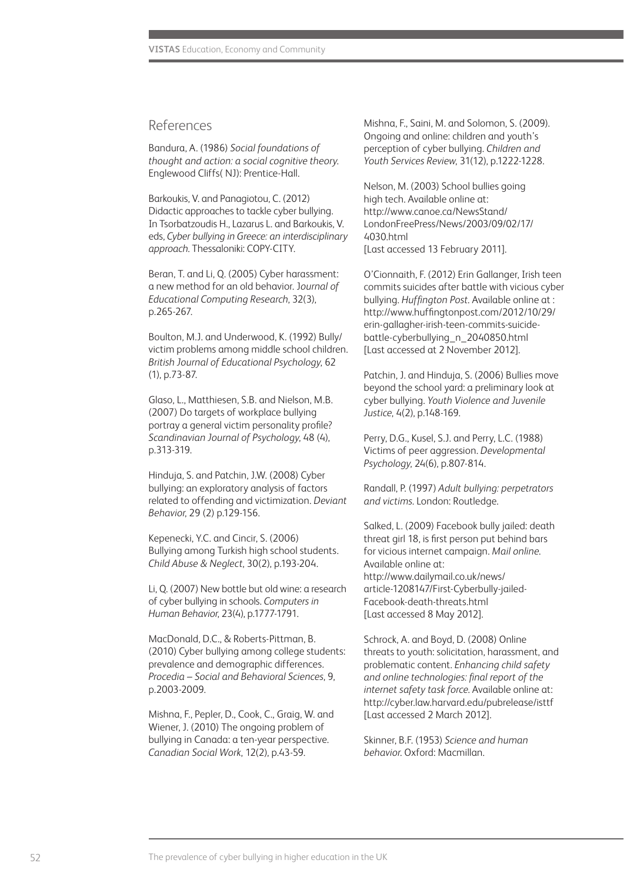### References

Bandura, A. (1986) *Social foundations of thought and action: a social cognitive theory*. Englewood Cliffs( NJ): Prentice-Hall.

Barkoukis, V. and Panagiotou, C. (2012) Didactic approaches to tackle cyber bullying. In Tsorbatzoudis H., Lazarus L. and Barkoukis, V. eds, *Cyber bullying in Greece: an interdisciplinary approach*. Thessaloniki: COPY-CITY.

Beran, T. and Li, Q. (2005) Cyber harassment: a new method for an old behavior. J*ournal of Educational Computing Research*, 32(3), p.265-267.

Boulton, M.J. and Underwood, K. (1992) Bully/ victim problems among middle school children. *British Journal of Educational Psychology*, 62 (1), p.73-87.

Glaso, L., Matthiesen, S.B. and Nielson, M.B. (2007) Do targets of workplace bullying portray a general victim personality profile? *Scandinavian Journal of Psychology*, 48 (4), p.313-319.

Hinduja, S. and Patchin, J.W. (2008) Cyber bullying: an exploratory analysis of factors related to offending and victimization. *Deviant Behavior*, 29 (2) p.129-156.

Kepenecki, Y.C. and Cincir, S. (2006) Bullying among Turkish high school students. *Child Abuse & Neglect*, 30(2), p.193-204.

Li, Q. (2007) New bottle but old wine: a research of cyber bullying in schools. *Computers in Human Behavior*, 23(4), p.1777-1791.

MacDonald, D.C., & Roberts-Pittman, B. (2010) Cyber bullying among college students: prevalence and demographic differences. *Procedia – Social and Behavioral Sciences*, 9, p.2003-2009.

Mishna, F., Pepler, D., Cook, C., Graig, W. and Wiener, J. (2010) The ongoing problem of bullying in Canada: a ten-year perspective. *Canadian Social Work*, 12(2), p.43-59.

Mishna, F., Saini, M. and Solomon, S. (2009). Ongoing and online: children and youth's perception of cyber bullying. *Children and Youth Services Review*, 31(12), p.1222-1228.

Nelson, M. (2003) School bullies going high tech. Available online at: http://www.canoe.ca/NewsStand/ LondonFreePress/News/2003/09/02/17/ 4030.html [Last accessed 13 February 2011].

O'Cionnaith, F. (2012) Erin Gallanger, Irish teen commits suicides after battle with vicious cyber bullying. *Huffington Post*. Available online at : http://www.huffingtonpost.com/2012/10/29/ erin-gallagher-irish-teen-commits-suicidebattle-cyberbullying\_n\_2040850.html [Last accessed at 2 November 2012].

Patchin, J. and Hinduja, S. (2006) Bullies move beyond the school yard: a preliminary look at cyber bullying. *Youth Violence and Juvenile Justice*, 4(2), p.148-169.

Perry, D.G., Kusel, S.J. and Perry, L.C. (1988) Victims of peer aggression. *Developmental Psychology*, 24(6), p.807-814.

Randall, P. (1997) *Adult bullying: perpetrators and victims*. London: Routledge.

Salked, L. (2009) Facebook bully jailed: death threat girl 18, is first person put behind bars for vicious internet campaign. *Mail online*. Available online at: http://www.dailymail.co.uk/news/ article-1208147/First-Cyberbully-jailed-Facebook-death-threats.html [Last accessed 8 May 2012].

Schrock, A. and Boyd, D. (2008) Online threats to youth: solicitation, harassment, and problematic content. *Enhancing child safety and online technologies: final report of the internet safety task force*. Available online at: http://cyber.law.harvard.edu/pubrelease/isttf [Last accessed 2 March 2012].

Skinner, B.F. (1953) *Science and human behavior*. Oxford: Macmillan.